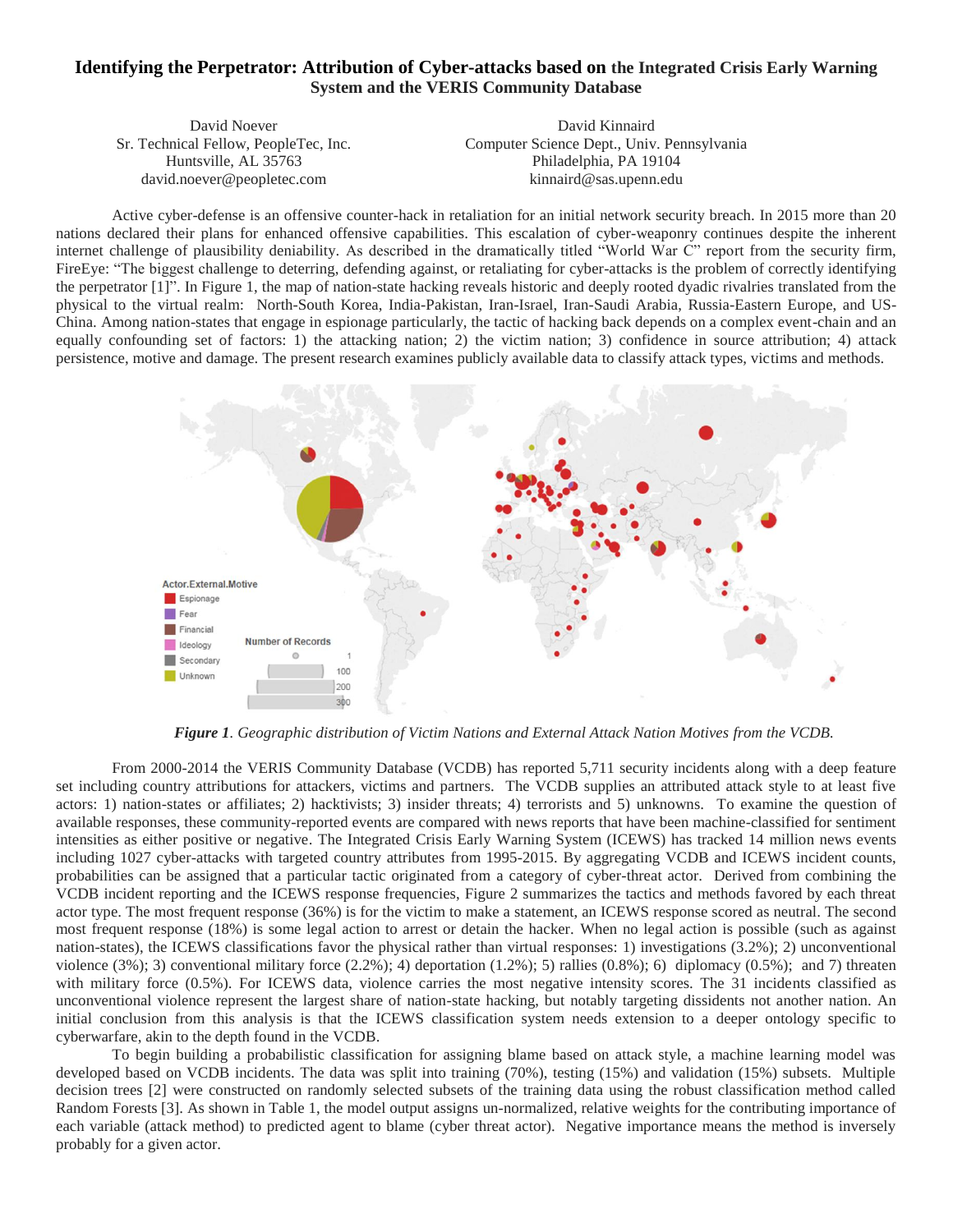## **Identifying the Perpetrator: Attribution of Cyber-attacks based on the Integrated Crisis Early Warning System and the VERIS Community Database**

Huntsville, AL 35763 david.noever@peopletec.com

David Noever David Kinnaird Sr. Technical Fellow, PeopleTec, Inc. Computer Science Dept., Univ. Pennsylvania Philadelphia, PA 19104 kinnaird@sas.upenn.edu

Active cyber-defense is an offensive counter-hack in retaliation for an initial network security breach. In 2015 more than 20 nations declared their plans for enhanced offensive capabilities. This escalation of cyber-weaponry continues despite the inherent internet challenge of plausibility deniability. As described in the dramatically titled "World War C" report from the security firm, FireEye: "The biggest challenge to deterring, defending against, or retaliating for cyber-attacks is the problem of correctly identifying the perpetrator [1]". In Figure 1, the map of nation-state hacking reveals historic and deeply rooted dyadic rivalries translated from the physical to the virtual realm: North-South Korea, India-Pakistan, Iran-Israel, Iran-Saudi Arabia, Russia-Eastern Europe, and US-China. Among nation-states that engage in espionage particularly, the tactic of hacking back depends on a complex event-chain and an equally confounding set of factors: 1) the attacking nation; 2) the victim nation; 3) confidence in source attribution; 4) attack persistence, motive and damage. The present research examines publicly available data to classify attack types, victims and methods.



*Figure 1. Geographic distribution of Victim Nations and External Attack Nation Motives from the VCDB.*

From 2000-2014 the VERIS Community Database (VCDB) has reported 5,711 security incidents along with a deep feature set including country attributions for attackers, victims and partners. The VCDB supplies an attributed attack style to at least five actors: 1) nation-states or affiliates; 2) hacktivists; 3) insider threats; 4) terrorists and 5) unknowns. To examine the question of available responses, these community-reported events are compared with news reports that have been machine-classified for sentiment intensities as either positive or negative. The Integrated Crisis Early Warning System (ICEWS) has tracked 14 million news events including 1027 cyber-attacks with targeted country attributes from 1995-2015. By aggregating VCDB and ICEWS incident counts, probabilities can be assigned that a particular tactic originated from a category of cyber-threat actor. Derived from combining the VCDB incident reporting and the ICEWS response frequencies, Figure 2 summarizes the tactics and methods favored by each threat actor type. The most frequent response (36%) is for the victim to make a statement, an ICEWS response scored as neutral. The second most frequent response (18%) is some legal action to arrest or detain the hacker. When no legal action is possible (such as against nation-states), the ICEWS classifications favor the physical rather than virtual responses: 1) investigations (3.2%); 2) unconventional violence  $(3\%)$ ; 3) conventional military force  $(2.2\%)$ ; 4) deportation  $(1.2\%)$ ; 5) rallies  $(0.8\%)$ ; 6) diplomacy  $(0.5\%)$ ; and 7) threaten with military force (0.5%). For ICEWS data, violence carries the most negative intensity scores. The 31 incidents classified as unconventional violence represent the largest share of nation-state hacking, but notably targeting dissidents not another nation. An initial conclusion from this analysis is that the ICEWS classification system needs extension to a deeper ontology specific to cyberwarfare, akin to the depth found in the VCDB.

To begin building a probabilistic classification for assigning blame based on attack style, a machine learning model was developed based on VCDB incidents. The data was split into training (70%), testing (15%) and validation (15%) subsets. Multiple decision trees [2] were constructed on randomly selected subsets of the training data using the robust classification method called Random Forests [3]. As shown in Table 1, the model output assigns un-normalized, relative weights for the contributing importance of each variable (attack method) to predicted agent to blame (cyber threat actor). Negative importance means the method is inversely probably for a given actor.